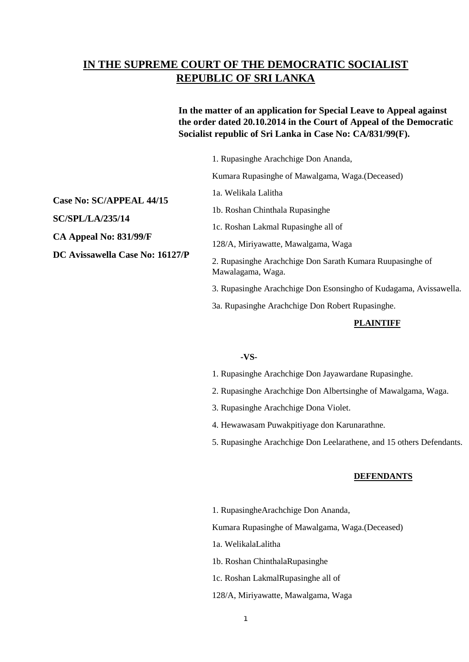# **IN THE SUPREME COURT OF THE DEMOCRATIC SOCIALIST REPUBLIC OF SRI LANKA**

## **In the matter of an application for Special Leave to Appeal against the order dated 20.10.2014 in the Court of Appeal of the Democratic Socialist republic of Sri Lanka in Case No: CA/831/99(F).**

|     | 1. Rupasinghe Arachchige Don Ananda,                                           |
|-----|--------------------------------------------------------------------------------|
|     | Kumara Rupasinghe of Mawalgama, Waga. (Deceased)                               |
| 7/P | 1a. Welikala Lalitha                                                           |
|     | 1b. Roshan Chinthala Rupasinghe                                                |
|     | 1c. Roshan Lakmal Rupasinghe all of                                            |
|     | 128/A, Miriyawatte, Mawalgama, Waga                                            |
|     | 2. Rupasinghe Arachchige Don Sarath Kumara Ruupasinghe of<br>Mawalagama, Waga. |
|     | 3. Rupasinghe Arachchige Don Esonsingho of Kudagama, Avissawella.              |
|     | 3a. Rupasinghe Arachchige Don Robert Rupasinghe.                               |
|     | PLAINTIFF                                                                      |

## **-VS-**

1. Rupasinghe Arachchige Don Jayawardane Rupasinghe.

- 2. Rupasinghe Arachchige Don Albertsinghe of Mawalgama, Waga.
- 3. Rupasinghe Arachchige Dona Violet.
- 4. Hewawasam Puwakpitiyage don Karunarathne.
- 5. Rupasinghe Arachchige Don Leelarathene, and 15 others Defendants.

#### **DEFENDANTS**

1. RupasingheArachchige Don Ananda,

Kumara Rupasinghe of Mawalgama, Waga.(Deceased)

- 1a. WelikalaLalitha
- 1b. Roshan ChinthalaRupasinghe
- 1c. Roshan LakmalRupasinghe all of
- 128/A, Miriyawatte, Mawalgama, Waga

### **Case No: SC/APPEAL 44/15**

**SC/SPL/LA/235/14**

**CA Appeal No: 831/99/F**

**DC Avissawella Case No: 16127**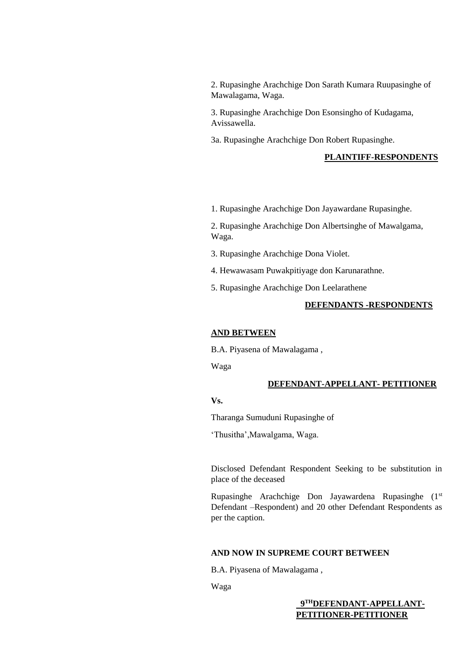2. Rupasinghe Arachchige Don Sarath Kumara Ruupasinghe of Mawalagama, Waga.

3. Rupasinghe Arachchige Don Esonsingho of Kudagama, Avissawella.

3a. Rupasinghe Arachchige Don Robert Rupasinghe.

#### **PLAINTIFF-RESPONDENTS**

1. Rupasinghe Arachchige Don Jayawardane Rupasinghe.

2. Rupasinghe Arachchige Don Albertsinghe of Mawalgama, Waga.

- 3. Rupasinghe Arachchige Dona Violet.
- 4. Hewawasam Puwakpitiyage don Karunarathne.
- 5. Rupasinghe Arachchige Don Leelarathene

### **DEFENDANTS -RESPONDENTS**

#### **AND BETWEEN**

B.A. Piyasena of Mawalagama ,

Waga

#### **DEFENDANT-APPELLANT- PETITIONER**

## **Vs.**

Tharanga Sumuduni Rupasinghe of

'Thusitha',Mawalgama, Waga.

Disclosed Defendant Respondent Seeking to be substitution in place of the deceased

Rupasinghe Arachchige Don Jayawardena Rupasinghe (1<sup>st</sup>) Defendant –Respondent) and 20 other Defendant Respondents as per the caption.

#### **AND NOW IN SUPREME COURT BETWEEN**

B.A. Piyasena of Mawalagama ,

Waga

 **9 THDEFENDANT-APPELLANT-PETITIONER-PETITIONER**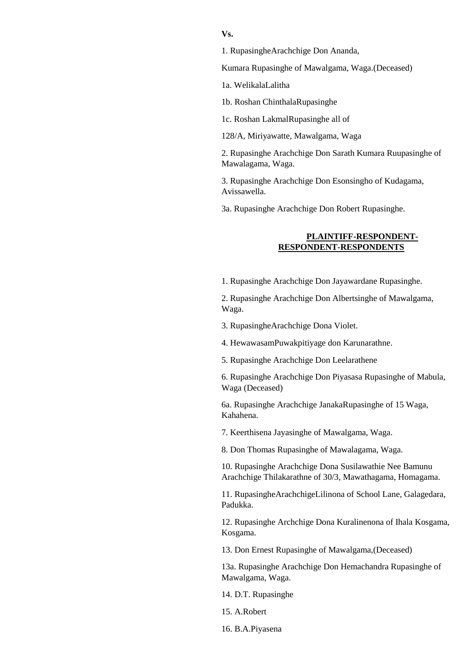**Vs.** 

1. RupasingheArachchige Don Ananda,

Kumara Rupasinghe of Mawalgama, Waga.(Deceased)

1a. WelikalaLalitha

1b. Roshan ChinthalaRupasinghe

1c. Roshan LakmalRupasinghe all of

128/A, Miriyawatte, Mawalgama, Waga

2. Rupasinghe Arachchige Don Sarath Kumara Ruupasinghe of Mawalagama, Waga.

3. Rupasinghe Arachchige Don Esonsingho of Kudagama, Avissawella.

3a. Rupasinghe Arachchige Don Robert Rupasinghe.

## **PLAINTIFF-RESPONDENT-RESPONDENT-RESPONDENTS**

1. Rupasinghe Arachchige Don Jayawardane Rupasinghe.

2. Rupasinghe Arachchige Don Albertsinghe of Mawalgama, Waga.

- 3. RupasingheArachchige Dona Violet.
- 4. HewawasamPuwakpitiyage don Karunarathne.
- 5. Rupasinghe Arachchige Don Leelarathene

6. Rupasinghe Arachchige Don Piyasasa Rupasinghe of Mabula, Waga (Deceased)

6a. Rupasinghe Arachchige JanakaRupasinghe of 15 Waga, Kahahena.

7. Keerthisena Jayasinghe of Mawalgama, Waga.

8. Don Thomas Rupasinghe of Mawalagama, Waga.

10. Rupasinghe Arachchige Dona Susilawathie Nee Bamunu Arachchige Thilakarathne of 30/3, Mawathagama, Homagama.

11. RupasingheArachchigeLilinona of School Lane, Galagedara, Padukka.

12. Rupasinghe Archchige Dona Kuralinenona of Ihala Kosgama, Kosgama.

13. Don Ernest Rupasinghe of Mawalgama,(Deceased)

13a. Rupasinghe Arachchige Don Hemachandra Rupasinghe of Mawalgama, Waga.

14. D.T. Rupasinghe

15. A.Robert

16. B.A.Piyasena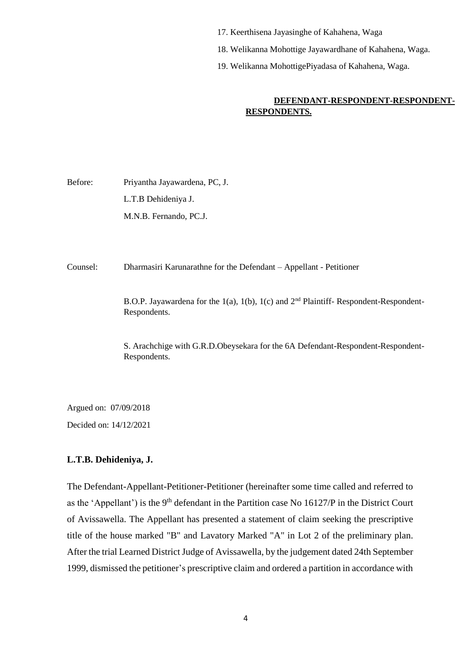- 17. Keerthisena Jayasinghe of Kahahena, Waga
- 18. Welikanna Mohottige Jayawardhane of Kahahena, Waga.
- 19. Welikanna MohottigePiyadasa of Kahahena, Waga.

## **DEFENDANT-RESPONDENT-RESPONDENT-RESPONDENTS.**

Before: Priyantha Jayawardena, PC, J. L.T.B Dehideniya J. M.N.B. Fernando, PC.J.

Counsel: Dharmasiri Karunarathne for the Defendant – Appellant - Petitioner

B.O.P. Jayawardena for the 1(a), 1(b), 1(c) and  $2<sup>nd</sup>$  Plaintiff- Respondent-Respondent-Respondents.

S. Arachchige with G.R.D.Obeysekara for the 6A Defendant-Respondent-Respondent-Respondents.

Argued on: 07/09/2018 Decided on: 14/12/2021

## **L.T.B. Dehideniya, J.**

The Defendant-Appellant-Petitioner-Petitioner (hereinafter some time called and referred to as the 'Appellant') is the 9<sup>th</sup> defendant in the Partition case No  $16127/P$  in the District Court of Avissawella. The Appellant has presented a statement of claim seeking the prescriptive title of the house marked "B" and Lavatory Marked "A" in Lot 2 of the preliminary plan. After the trial Learned District Judge of Avissawella, by the judgement dated 24th September 1999, dismissed the petitioner's prescriptive claim and ordered a partition in accordance with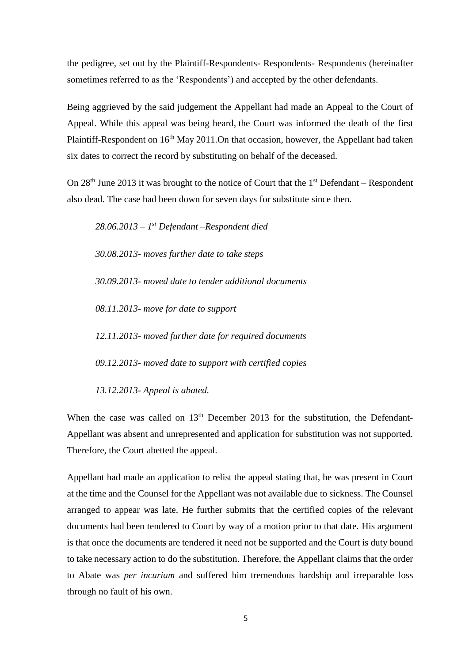the pedigree, set out by the Plaintiff-Respondents- Respondents- Respondents (hereinafter sometimes referred to as the 'Respondents') and accepted by the other defendants.

Being aggrieved by the said judgement the Appellant had made an Appeal to the Court of Appeal. While this appeal was being heard, the Court was informed the death of the first Plaintiff-Respondent on  $16<sup>th</sup>$  May 2011. On that occasion, however, the Appellant had taken six dates to correct the record by substituting on behalf of the deceased.

On  $28<sup>th</sup>$  June 2013 it was brought to the notice of Court that the  $1<sup>st</sup>$  Defendant – Respondent also dead. The case had been down for seven days for substitute since then.

*28.06.2013 – 1 st Defendant –Respondent died 30.08.2013- moves further date to take steps 30.09.2013- moved date to tender additional documents 08.11.2013- move for date to support 12.11.2013- moved further date for required documents 09.12.2013- moved date to support with certified copies 13.12.2013- Appeal is abated.*

When the case was called on  $13<sup>th</sup>$  December 2013 for the substitution, the Defendant-Appellant was absent and unrepresented and application for substitution was not supported. Therefore, the Court abetted the appeal.

Appellant had made an application to relist the appeal stating that, he was present in Court at the time and the Counsel for the Appellant was not available due to sickness. The Counsel arranged to appear was late. He further submits that the certified copies of the relevant documents had been tendered to Court by way of a motion prior to that date. His argument is that once the documents are tendered it need not be supported and the Court is duty bound to take necessary action to do the substitution. Therefore, the Appellant claims that the order to Abate was *per incuriam* and suffered him tremendous hardship and irreparable loss through no fault of his own.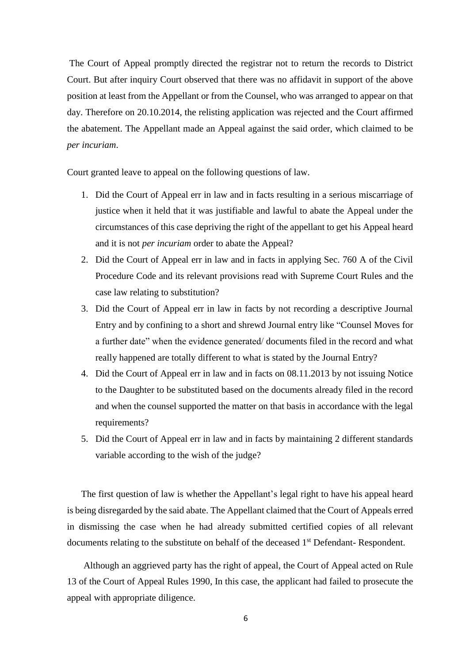The Court of Appeal promptly directed the registrar not to return the records to District Court. But after inquiry Court observed that there was no affidavit in support of the above position at least from the Appellant or from the Counsel, who was arranged to appear on that day. Therefore on 20.10.2014, the relisting application was rejected and the Court affirmed the abatement. The Appellant made an Appeal against the said order, which claimed to be *per incuriam*.

Court granted leave to appeal on the following questions of law.

- 1. Did the Court of Appeal err in law and in facts resulting in a serious miscarriage of justice when it held that it was justifiable and lawful to abate the Appeal under the circumstances of this case depriving the right of the appellant to get his Appeal heard and it is not *per incuriam* order to abate the Appeal?
- 2. Did the Court of Appeal err in law and in facts in applying Sec. 760 A of the Civil Procedure Code and its relevant provisions read with Supreme Court Rules and the case law relating to substitution?
- 3. Did the Court of Appeal err in law in facts by not recording a descriptive Journal Entry and by confining to a short and shrewd Journal entry like "Counsel Moves for a further date" when the evidence generated/ documents filed in the record and what really happened are totally different to what is stated by the Journal Entry?
- 4. Did the Court of Appeal err in law and in facts on 08.11.2013 by not issuing Notice to the Daughter to be substituted based on the documents already filed in the record and when the counsel supported the matter on that basis in accordance with the legal requirements?
- 5. Did the Court of Appeal err in law and in facts by maintaining 2 different standards variable according to the wish of the judge?

The first question of law is whether the Appellant's legal right to have his appeal heard is being disregarded by the said abate. The Appellant claimed that the Court of Appeals erred in dismissing the case when he had already submitted certified copies of all relevant documents relating to the substitute on behalf of the deceased 1<sup>st</sup> Defendant-Respondent.

Although an aggrieved party has the right of appeal, the Court of Appeal acted on Rule 13 of the Court of Appeal Rules 1990, In this case, the applicant had failed to prosecute the appeal with appropriate diligence.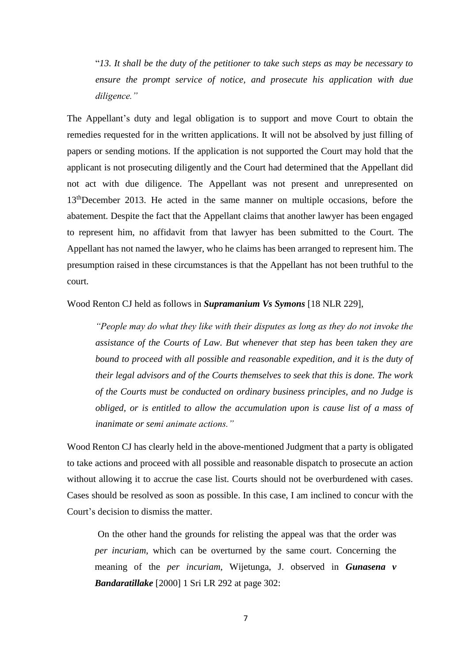"*13. It shall be the duty of the petitioner to take such steps as may be necessary to ensure the prompt service of notice, and prosecute his application with due diligence."*

The Appellant's duty and legal obligation is to support and move Court to obtain the remedies requested for in the written applications. It will not be absolved by just filling of papers or sending motions. If the application is not supported the Court may hold that the applicant is not prosecuting diligently and the Court had determined that the Appellant did not act with due diligence. The Appellant was not present and unrepresented on 13<sup>th</sup>December 2013. He acted in the same manner on multiple occasions, before the abatement. Despite the fact that the Appellant claims that another lawyer has been engaged to represent him, no affidavit from that lawyer has been submitted to the Court. The Appellant has not named the lawyer, who he claims has been arranged to represent him. The presumption raised in these circumstances is that the Appellant has not been truthful to the court.

## Wood Renton CJ held as follows in *Supramanium Vs Symons* [18 NLR 229],

*"People may do what they like with their disputes as long as they do not invoke the assistance of the Courts of Law. But whenever that step has been taken they are bound to proceed with all possible and reasonable expedition, and it is the duty of their legal advisors and of the Courts themselves to seek that this is done. The work of the Courts must be conducted on ordinary business principles, and no Judge is obliged, or is entitled to allow the accumulation upon is cause list of a mass of inanimate or semi animate actions."*

Wood Renton CJ has clearly held in the above-mentioned Judgment that a party is obligated to take actions and proceed with all possible and reasonable dispatch to prosecute an action without allowing it to accrue the case list. Courts should not be overburdened with cases. Cases should be resolved as soon as possible. In this case, I am inclined to concur with the Court's decision to dismiss the matter.

On the other hand the grounds for relisting the appeal was that the order was *per incuriam*, which can be overturned by the same court. Concerning the meaning of the *per incuriam*, Wijetunga, J. observed in *Gunasena v Bandaratillake* [2000] 1 Sri LR 292 at page 302: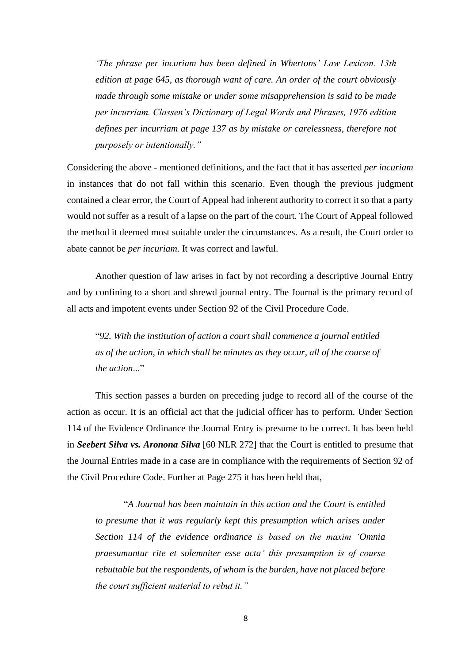*'The phrase per incuriam has been defined in Whertons' Law Lexicon. 13th edition at page 645, as thorough want of care. An order of the court obviously made through some mistake or under some misapprehension is said to be made per incurriam. Classen's Dictionary of Legal Words and Phrases, 1976 edition defines per incurriam at page 137 as by mistake or carelessness, therefore not purposely or intentionally."*

Considering the above - mentioned definitions, and the fact that it has asserted *per incuriam* in instances that do not fall within this scenario. Even though the previous judgment contained a clear error, the Court of Appeal had inherent authority to correct it so that a party would not suffer as a result of a lapse on the part of the court. The Court of Appeal followed the method it deemed most suitable under the circumstances. As a result, the Court order to abate cannot be *per incuriam*. It was correct and lawful.

Another question of law arises in fact by not recording a descriptive Journal Entry and by confining to a short and shrewd journal entry. The Journal is the primary record of all acts and impotent events under Section 92 of the Civil Procedure Code.

"*92. With the institution of action a court shall commence a journal entitled as of the action, in which shall be minutes as they occur, all of the course of the action*..."

This section passes a burden on preceding judge to record all of the course of the action as occur. It is an official act that the judicial officer has to perform. Under Section 114 of the Evidence Ordinance the Journal Entry is presume to be correct. It has been held in *Seebert Silva vs. Aronona Silva* [60 NLR 272] that the Court is entitled to presume that the Journal Entries made in a case are in compliance with the requirements of Section 92 of the Civil Procedure Code. Further at Page 275 it has been held that,

"*A Journal has been maintain in this action and the Court is entitled to presume that it was regularly kept this presumption which arises under Section 114 of the evidence ordinance is based on the maxim 'Omnia praesumuntur rite et solemniter esse acta' this presumption is of course rebuttable but the respondents, of whom is the burden, have not placed before the court sufficient material to rebut it."*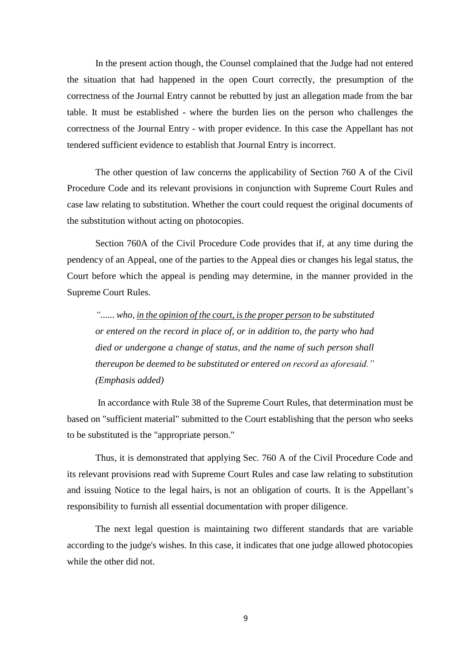In the present action though, the Counsel complained that the Judge had not entered the situation that had happened in the open Court correctly, the presumption of the correctness of the Journal Entry cannot be rebutted by just an allegation made from the bar table. It must be established - where the burden lies on the person who challenges the correctness of the Journal Entry - with proper evidence. In this case the Appellant has not tendered sufficient evidence to establish that Journal Entry is incorrect.

The other question of law concerns the applicability of Section 760 A of the Civil Procedure Code and its relevant provisions in conjunction with Supreme Court Rules and case law relating to substitution. Whether the court could request the original documents of the substitution without acting on photocopies.

Section 760A of the Civil Procedure Code provides that if, at any time during the pendency of an Appeal, one of the parties to the Appeal dies or changes his legal status, the Court before which the appeal is pending may determine, in the manner provided in the Supreme Court Rules.

*"...... who, in the opinion of the court, is the proper person to be substituted or entered on the record in place of, or in addition to, the party who had died or undergone a change of status, and the name of such person shall thereupon be deemed to be substituted or entered on record as aforesaid." (Emphasis added)*

In accordance with Rule 38 of the Supreme Court Rules, that determination must be based on "sufficient material" submitted to the Court establishing that the person who seeks to be substituted is the "appropriate person."

Thus, it is demonstrated that applying Sec. 760 A of the Civil Procedure Code and its relevant provisions read with Supreme Court Rules and case law relating to substitution and issuing Notice to the legal hairs, is not an obligation of courts. It is the Appellant's responsibility to furnish all essential documentation with proper diligence.

The next legal question is maintaining two different standards that are variable according to the judge's wishes. In this case, it indicates that one judge allowed photocopies while the other did not.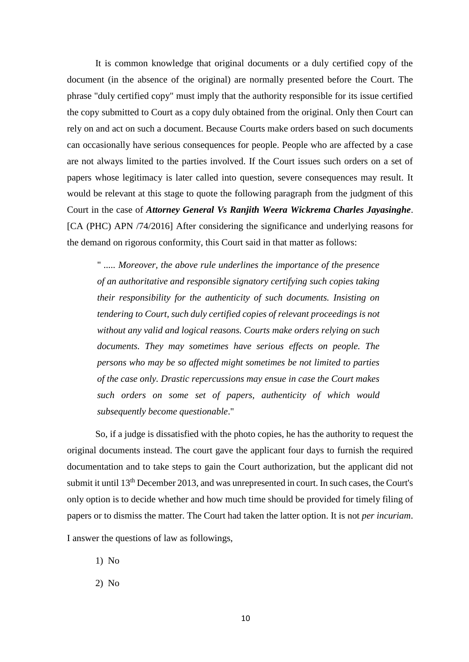It is common knowledge that original documents or a duly certified copy of the document (in the absence of the original) are normally presented before the Court. The phrase "duly certified copy" must imply that the authority responsible for its issue certified the copy submitted to Court as a copy duly obtained from the original. Only then Court can rely on and act on such a document. Because Courts make orders based on such documents can occasionally have serious consequences for people. People who are affected by a case are not always limited to the parties involved. If the Court issues such orders on a set of papers whose legitimacy is later called into question, severe consequences may result. It would be relevant at this stage to quote the following paragraph from the judgment of this Court in the case of *Attorney General Vs Ranjith Weera Wickrema Charles Jayasinghe*. [CA (PHC) APN /74/2016] After considering the significance and underlying reasons for the demand on rigorous conformity, this Court said in that matter as follows:

" *..... Moreover, the above rule underlines the importance of the presence of an authoritative and responsible signatory certifying such copies taking their responsibility for the authenticity of such documents. Insisting on tendering to Court, such duly certified copies of relevant proceedings is not without any valid and logical reasons. Courts make orders relying on such documents. They may sometimes have serious effects on people. The persons who may be so affected might sometimes be not limited to parties of the case only. Drastic repercussions may ensue in case the Court makes such orders on some set of papers, authenticity of which would subsequently become questionable*."

So, if a judge is dissatisfied with the photo copies, he has the authority to request the original documents instead. The court gave the applicant four days to furnish the required documentation and to take steps to gain the Court authorization, but the applicant did not submit it until 13<sup>th</sup> December 2013, and was unrepresented in court. In such cases, the Court's only option is to decide whether and how much time should be provided for timely filing of papers or to dismiss the matter. The Court had taken the latter option. It is not *per incuriam*.

I answer the questions of law as followings,

1) No

2) No